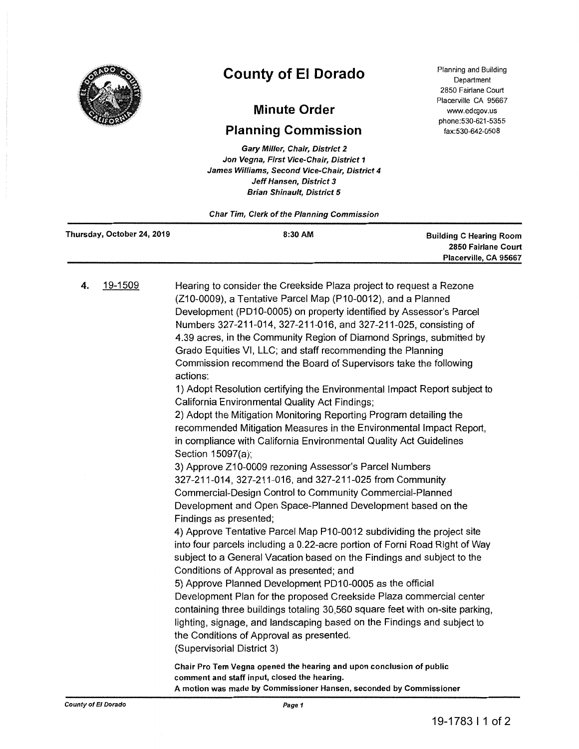

## **County of El Dorado**

## **Minute Order**

## **Planning Commission**

Gary Miller, Chair, District 2 Jon Vegna, First Vice-Chair, District 1 James Williams, Second Vice-Chair, District 4 Jeff Hansen, District 3 Brian Shinault, District 5

Planning and Building Department 2850 Fairlane Court Placerville CA 95667 www.edcgov.us phone:530-621-5355 fax:530-642-0508

Char Tim, Clerk of the Planning Commission

| Thursday, October 24, 2019 | 8:30 AM | <b>Building C Hearing Room</b> |
|----------------------------|---------|--------------------------------|
|                            |         | 2850 Fairlane Court            |
|                            |         | Placerville, CA 95667          |
|                            |         |                                |

4. 19-1509 Hearing to consider the Creekside Plaza project to request a Rezone (210-0009), a Tentative Parcel Map (P10-0012), and a Planned Development (PD10-0005) on property identified by Assessor's Parcel Numbers 327-211-014, 327-211-016, and 327-211-025, consisting of 4.39 acres, in the Community Region of Diamond Springs, submitted by Grado Equities VI, LLC; and staff recommending the Planning Commission recommend the Board of Supervisors take the following actions:

1) Adopt Resolution certifying the Environmental Impact Report subject to California Environmental Quality Act Findings;

2) Adopt the Mitigation Monitoring Reporting Program detailing the recommended Mitigation Measures in the Environmental Impact Report, in compliance with California Environmental Quality Act Guidelines Section 15097(a);

3) Approve Z10-0009 rezoning Assessor's Parcel Numbers 327-211-014, 327-211-016, and 327-211-025 from Community Commercial-Design Control to Community Commercial-Planned Development and Open Space-Planned Development based on the Findings as presented;

4) Approve Tentative Parcel Map P10-0012 subdividing the project site into four parcels including a 0.22-acre portion of Forni Road Right of Way subject to a General Vacation based on the Findings and subject to the Conditions of Approval as presented; and

5) Approve Planned Development PD10-0005 as the official Development Plan for the proposed Creekside Plaza commercial center containing three buildings totaling 30,560 square feet with on-site parking, lighting, signage, and landscaping based on the Findings and subject to the Conditions of Approval as presented. (Supervisorial District 3)

Chair Pro Tem Vegna opened the hearing and upon conclusion of public comment and staff input, closed the hearing. A motion was made by Commissioner Hansen, seconded by Commissioner